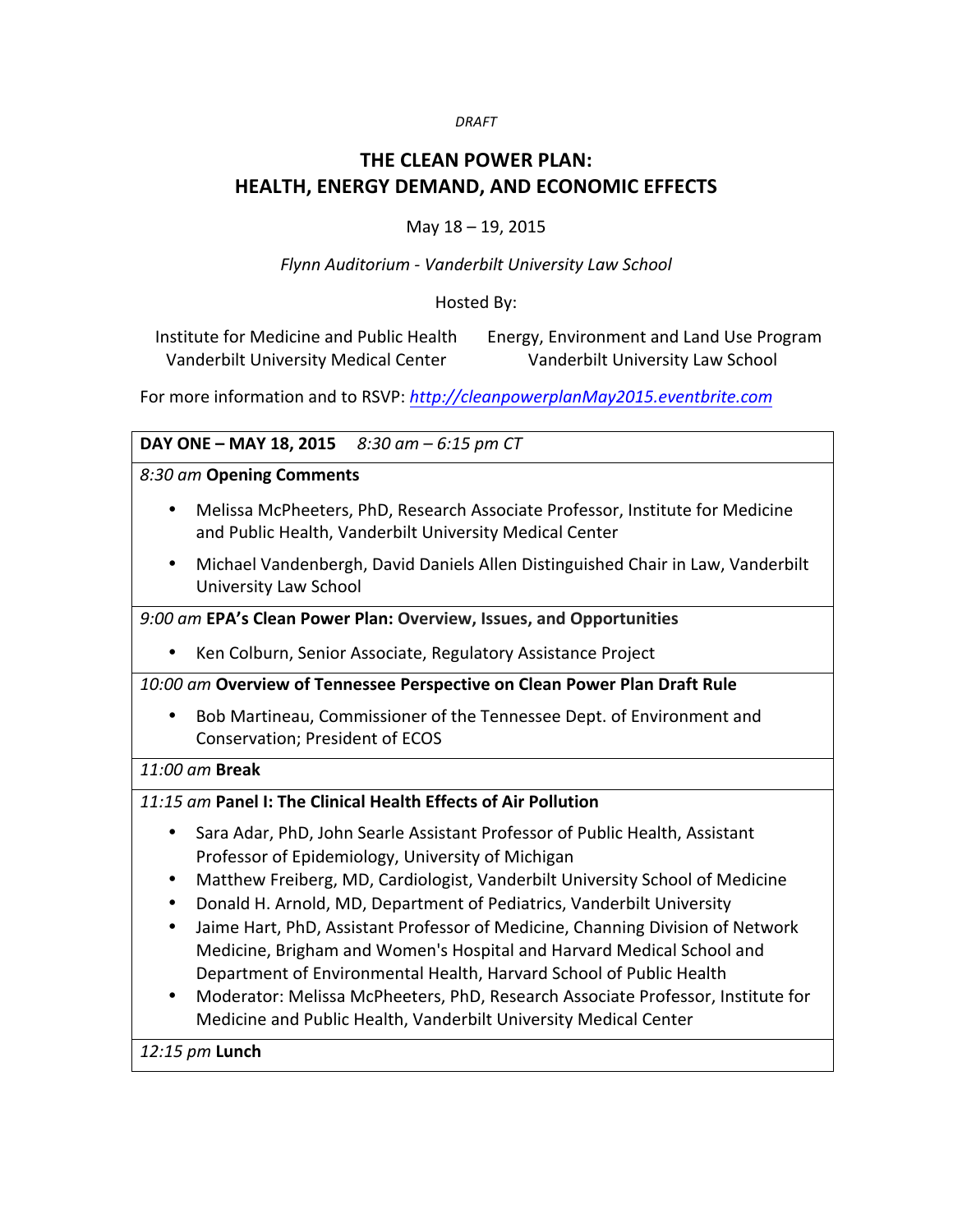#### *DRAFT*

# **THE CLEAN POWER PLAN: HEALTH, ENERGY DEMAND, AND ECONOMIC EFFECTS**

#### May  $18 - 19$ , 2015

#### *Flynn Auditorium - Vanderbilt University Law School*

#### Hosted By:

Institute for Medicine and Public Health Vanderbilt University Medical Center Energy, Environment and Land Use Program Vanderbilt University Law School

For more information and to RSVP: http://cleanpowerplanMay2015.eventbrite.com

#### **DAY ONE – MAY 18, 2015** 8:30 am – 6:15 pm CT

*8:30 am* **Opening Comments**

- Melissa McPheeters, PhD, Research Associate Professor, Institute for Medicine and Public Health, Vanderbilt University Medical Center
- Michael Vandenbergh, David Daniels Allen Distinguished Chair in Law, Vanderbilt University Law School

#### *9:00 am* **EPA's Clean Power Plan: Overview, Issues, and Opportunities**

• Ken Colburn, Senior Associate, Regulatory Assistance Project

*10:00 am* **Overview of Tennessee Perspective on Clean Power Plan Draft Rule**

• Bob Martineau, Commissioner of the Tennessee Dept. of Environment and Conservation; President of ECOS

#### *11:00 am* **Break**

#### *11:15 am* **Panel I: The Clinical Health Effects of Air Pollution**

- Sara Adar, PhD, John Searle Assistant Professor of Public Health, Assistant Professor of Epidemiology, University of Michigan
- Matthew Freiberg, MD, Cardiologist, Vanderbilt University School of Medicine
- Donald H. Arnold, MD, Department of Pediatrics, Vanderbilt University
- Jaime Hart, PhD, Assistant Professor of Medicine, Channing Division of Network Medicine, Brigham and Women's Hospital and Harvard Medical School and Department of Environmental Health, Harvard School of Public Health
- Moderator: Melissa McPheeters, PhD, Research Associate Professor, Institute for Medicine and Public Health, Vanderbilt University Medical Center

*12:15 pm* **Lunch**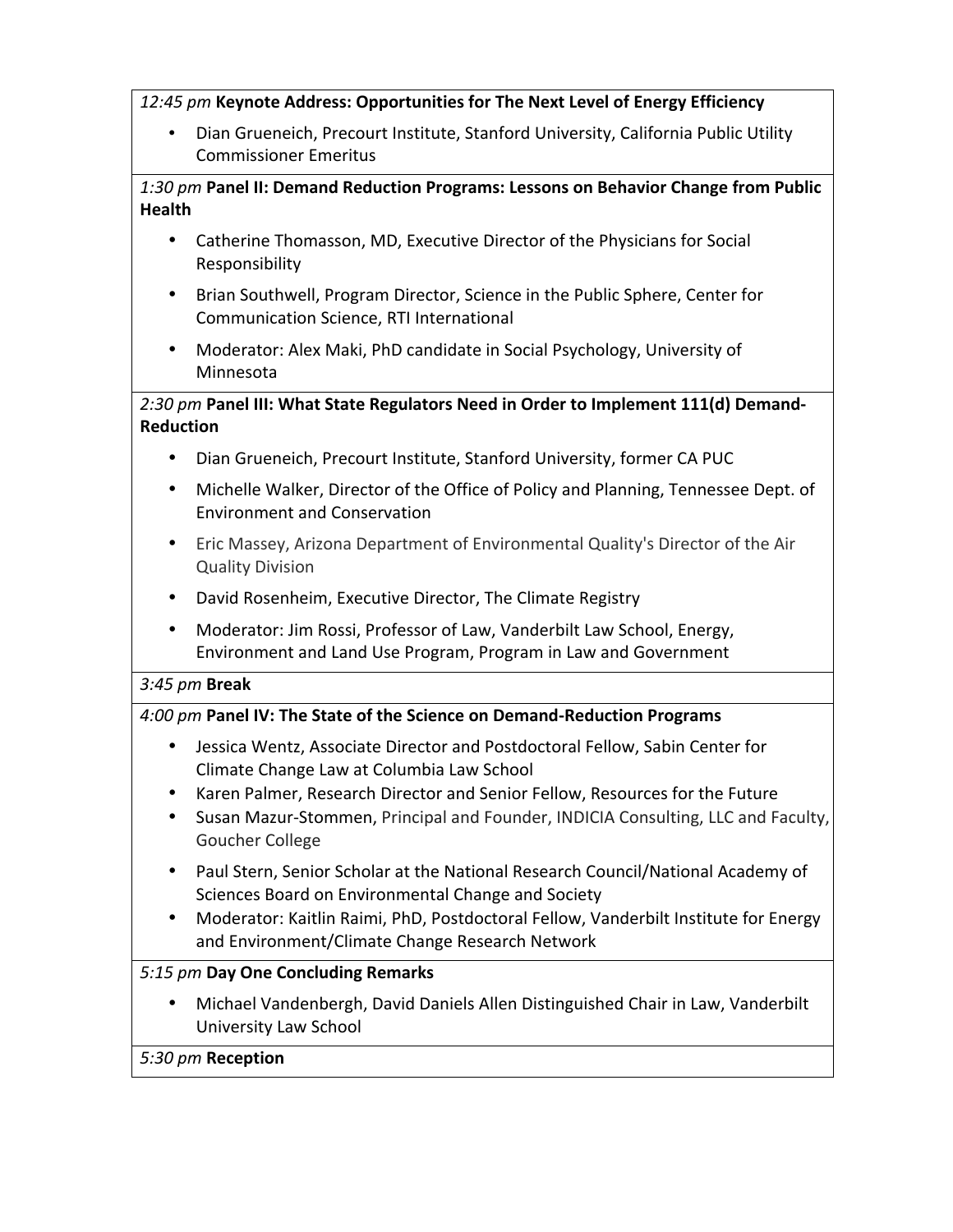### 12:45 pm Keynote Address: Opportunities for The Next Level of Energy Efficiency

• Dian Grueneich, Precourt Institute, Stanford University, California Public Utility Commissioner Emeritus

## 1:30 pm Panel II: Demand Reduction Programs: Lessons on Behavior Change from Public **Health**

- Catherine Thomasson, MD, Executive Director of the Physicians for Social Responsibility
- Brian Southwell, Program Director, Science in the Public Sphere, Center for Communication Science, RTI International
- Moderator: Alex Maki, PhD candidate in Social Psychology, University of Minnesota

## 2:30 pm Panel III: What State Regulators Need in Order to Implement 111(d) Demand-**Reduction**

- Dian Grueneich, Precourt Institute, Stanford University, former CA PUC
- Michelle Walker, Director of the Office of Policy and Planning, Tennessee Dept. of Environment and Conservation
- Eric Massey, Arizona Department of Environmental Quality's Director of the Air Quality Division
- David Rosenheim, Executive Director, The Climate Registry
- Moderator: Jim Rossi, Professor of Law, Vanderbilt Law School, Energy, Environment and Land Use Program, Program in Law and Government

## *3:45 pm* **Break**

## *4:00 pm* **Panel IV: The State of the Science on Demand-Reduction Programs**

- Jessica Wentz, Associate Director and Postdoctoral Fellow, Sabin Center for Climate Change Law at Columbia Law School
- Karen Palmer, Research Director and Senior Fellow, Resources for the Future
- Susan Mazur-Stommen, Principal and Founder, INDICIA Consulting, LLC and Faculty, Goucher College
- Paul Stern, Senior Scholar at the National Research Council/National Academy of Sciences Board on Environmental Change and Society
- Moderator: Kaitlin Raimi, PhD, Postdoctoral Fellow, Vanderbilt Institute for Energy and Environment/Climate Change Research Network

## *5:15 pm* **Day One Concluding Remarks**

• Michael Vandenbergh, David Daniels Allen Distinguished Chair in Law, Vanderbilt University Law School

## *5:30 pm* **Reception**